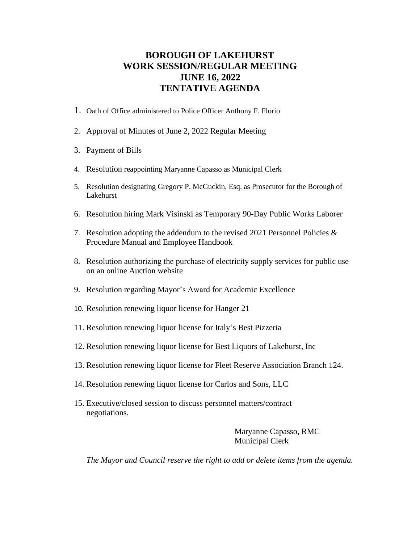### **BOROUGH OF LAKEHURST WORK SESSION/REGULAR MEETING JUNE 16, 2022 TENTATIVE AGENDA**

- 1. Oath of Office administered to Police Officer Anthony F. Florio
- 2. Approval of Minutes of June 2, 2022 Regular Meeting
- 3. Payment of Bills
- 4. Resolution reappointing Maryanne Capasso as Municipal Clerk
- 5. Resolution designating Gregory P. McGuckin, Esq. as Prosecutor for the Borough of Lakehurst
- 6. Resolution hiring Mark Visinski as Temporary 90-Day Public Works Laborer
- 7. Resolution adopting the addendum to the revised 2021 Personnel Policies & Procedure Manual and Employee Handbook
- 8. Resolution authorizing the purchase of electricity supply services for public use on an online Auction website
- 9. Resolution regarding Mayor's Award for Academic Excellence
- 10. Resolution renewing liquor license for Hanger 21
- 11. Resolution renewing liquor license for Italy's Best Pizzeria
- 12. Resolution renewing liquor license for Best Liquors of Lakehurst, Inc
- 13. Resolution renewing liquor license for Fleet Reserve Association Branch 124.
- 14. Resolution renewing liquor license for Carlos and Sons, LLC
- 15. Executive/closed session to discuss personnel matters/contract negotiations.

Maryanne Capasso, RMC **Municipal Clerk** 

*The Mayor and Council reserve the right to add or delete items from the agenda.*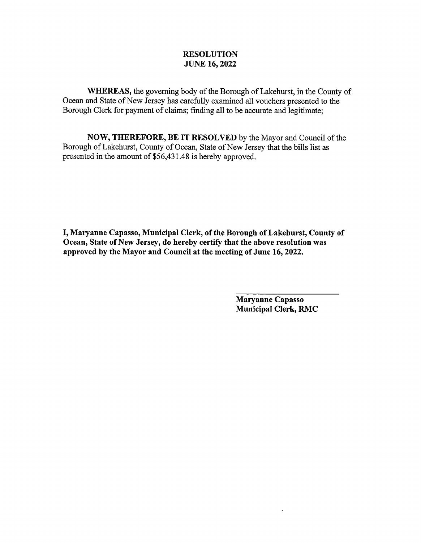WHEREAS, the governing body of the Borough of Lakehurst, in the County of Ocean and State of New Jersey has carefully examined all vouchers presented to the Borough Clerk for payment of claims; finding all to be accurate and legitimate;

NOW, THEREFORE, BE IT RESOLVED by the Mayor and Council of the Borough of Lakehurst, County of Ocean, State of New Jersey that the bills list as presented in the amount of \$56,431.48 is hereby approved.

I, Maryanne Capasso, Municipal Clerk, of the Borough of Lakehurst, County of Ocean, State of New Jersey, do hereby certify that the above resolution was approved by the Mayor and Council at the meeting of June 16, 2022.

> Maryanne Capasso **Municipal Clerk, RMC**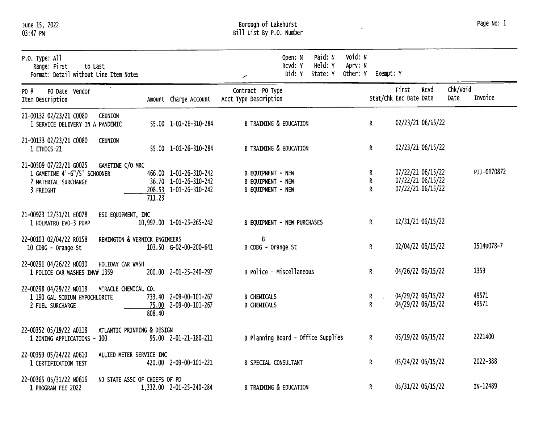## Borough of Lakehurst<br>Bill List By P.O. Number

 $\mathbf{v}$ 

| Page No: 1 |  |  |
|------------|--|--|
|------------|--|--|

| P.O. Type: All<br>Range: First<br>to Last<br>Format: Detail without Line Item Notes                              |        |                                                                           |                                                                                  | Open: N<br>RCVd: Y<br>Bid: Y | Paid: N<br>Held: Y<br>State: Y | Void: N<br>Aprv: N<br>Other: Y | Exempt: Y |                                        |                   |                  |                |
|------------------------------------------------------------------------------------------------------------------|--------|---------------------------------------------------------------------------|----------------------------------------------------------------------------------|------------------------------|--------------------------------|--------------------------------|-----------|----------------------------------------|-------------------|------------------|----------------|
| PO Date Vendor<br>PO #<br>Item Description                                                                       |        | Amount Charge Account                                                     | Contract PO Type<br>Acct Type Description                                        |                              |                                |                                |           | First<br>Stat/Chk Enc Date Date        | RCVd              | Chk/Void<br>Date | Invoice        |
| 21-00132 02/23/21 C0080<br><b>CEUNION</b><br>1 SERVICE DELIVERY IN A PANDEMIC                                    |        | 55.00 1-01-26-310-284                                                     | <b>B TRAINING &amp; EDUCATION</b>                                                |                              |                                | R                              |           | 02/23/21 06/15/22                      |                   |                  |                |
| 21-00133 02/23/21 C0080<br><b>CEUNION</b><br>1 ETHICS-21                                                         |        | 55.00 1-01-26-310-284                                                     | <b>B TRAINING &amp; EDUCATION</b>                                                |                              |                                | R                              |           | 02/23/21 06/15/22                      |                   |                  |                |
| GAMETIME C/O MRC<br>21-00509 07/22/21 G0025<br>1 GAMETIME 4'-6"/5' SCHOONER<br>2 MATERIAL SURCHARGE<br>3 FREIGHT | 711.23 | 466.00 1-01-26-310-242<br>36.70 1-01-26-310-242<br>208.53 1-01-26-310-242 | <b>B EQUIPMENT - NEW</b><br><b>B EQUIPMENT - NEW</b><br><b>B EQUIPMENT - NEW</b> |                              |                                | R<br>R<br>R                    |           | 07/22/21 06/15/22<br>07/22/21 06/15/22 | 07/22/21 06/15/22 |                  | PJI-0170872    |
| 21-00923 12/31/21 E0078<br>ESI EQUIPMENT, INC<br>1 HOLMATRO EVO-3 PUMP                                           |        | 10,997.00 1-01-25-265-242                                                 | <b>B EQUIPMENT - NEW PURCHASES</b>                                               |                              |                                | R                              |           | 12/31/21 06/15/22                      |                   |                  |                |
| REMINGTON & VERNICK ENGINEERS<br>22-00103 02/04/22 R0158<br>10 CDBG - Orange St                                  |        | 103.50 G-02-00-200-641                                                    | B<br>B CDBG - Orange St                                                          |                              |                                | R                              |           |                                        | 02/04/22 06/15/22 |                  | 1514u078-7     |
| 22-00291 04/26/22 H0030<br>HOLIDAY CAR WASH<br>1 POLICE CAR WASHES INV# 1359                                     |        | 200.00 2-01-25-240-297                                                    | B Police - Miscellaneous                                                         |                              |                                | R                              |           | 04/26/22 06/15/22                      |                   |                  | 1359           |
| 22-00298 04/29/22 M0118<br>MIRACLE CHEMICAL CO.<br>1 190 GAL SODIUM HYPOCHLORITE<br>2 FUEL SURCHARGE             | 808.40 | 733.40 2-09-00-101-267<br>75.00 2-09-00-101-267                           | <b>B CHEMICALS</b><br><b>B CHEMICALS</b>                                         |                              |                                | R<br>R                         | n.        | 04/29/22 06/15/22<br>04/29/22 06/15/22 |                   |                  | 49571<br>49571 |
| ATLANTIC PRINTING & DESIGN<br>22-00352 05/19/22 A0118<br>1 ZONING APPLICATIONS - 100                             |        | 95.00 2-01-21-180-211                                                     | B Planning Board - Office Supplies                                               |                              |                                | $\mathbf R$                    |           | 05/19/22 06/15/22                      |                   |                  | 2221400        |
| ALLIED METER SERVICE INC<br>22-00359 05/24/22 A0610<br>1 CERTIFICATION TEST                                      |        | 420.00 2-09-00-101-221                                                    | <b>B SPECIAL CONSULTANT</b>                                                      |                              |                                | R.                             |           | 05/24/22 06/15/22                      |                   |                  | 2022-388       |
| 22-00365 05/31/22 N0616<br>NJ STATE ASSC OF CHIEFS OF PD<br>1 PROGRAM FEE 2022                                   |        | 1,332.00 2-01-25-240-284                                                  | <b>B TRAINING &amp; EDUCATION</b>                                                |                              |                                | R                              |           | 05/31/22 06/15/22                      |                   |                  | IN-12489       |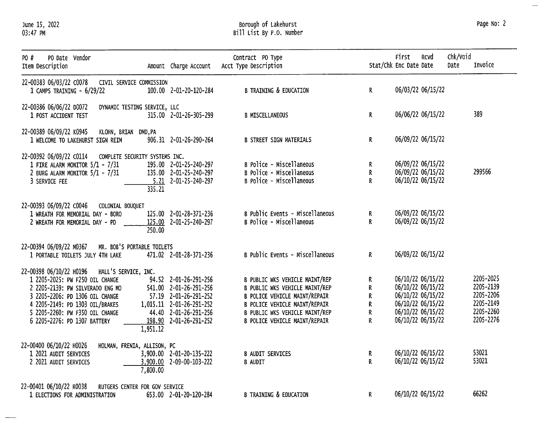June 15, 2022<br>03:47 PM

 $\overline{\phantom{0}}$  $\overline{\phantom{0}}$ 

# Borough of Lakehurst<br>Bill List By P.O. Numbe

Page No: 2

 $\leftarrow$ 

| ist By P.O. Number. |  |  |  |  |  |  |  |
|---------------------|--|--|--|--|--|--|--|
|---------------------|--|--|--|--|--|--|--|

| PO #<br>PO Date Vendor<br>Item Description                                                                                                                                                                                                                   | Amount Charge Account                                                                                                                                               | Contract PO Type<br>Acct Type Description                                                                                                                                                             |                                       | First<br>Rcvd<br>Stat/Chk Enc Date Date                                                                                    | Chk/Void<br>Invoice<br>Date                                                |
|--------------------------------------------------------------------------------------------------------------------------------------------------------------------------------------------------------------------------------------------------------------|---------------------------------------------------------------------------------------------------------------------------------------------------------------------|-------------------------------------------------------------------------------------------------------------------------------------------------------------------------------------------------------|---------------------------------------|----------------------------------------------------------------------------------------------------------------------------|----------------------------------------------------------------------------|
| 22-00383 06/03/22 C0078<br>1 CAMPS TRAINING - 6/29/22                                                                                                                                                                                                        | CIVIL SERVICE COMMISSION<br>100.00 2-01-20-120-284                                                                                                                  | <b>B TRAINING &amp; EDUCATION</b>                                                                                                                                                                     | $\mathsf{R}^-$                        | 06/03/22 06/15/22                                                                                                          |                                                                            |
| 22-00386 06/06/22 D0072<br>1 POST ACCIDENT TEST                                                                                                                                                                                                              | DYNAMIC TESTING SERVICE, LLC<br>315.00 2-01-26-305-299                                                                                                              | <b>B MISCELLANEOUS</b>                                                                                                                                                                                | R.                                    | 06/06/22 06/15/22                                                                                                          | 389                                                                        |
| 22-00389 06/09/22 K0945<br>1 WELCOME TO LAKEHURST SIGN REIM                                                                                                                                                                                                  | KLOHN, BRIAN DMD, PA<br>906.31 2-01-26-290-264                                                                                                                      | <b>B STREET SIGN MATERIALS</b>                                                                                                                                                                        | R.                                    | 06/09/22 06/15/22                                                                                                          |                                                                            |
| 22-00392 06/09/22 C0114 COMPLETE SECURITY SYSTEMS INC.<br>1 FIRE ALARM MONITOR 5/1 - 7/31<br>2 BURG ALARM MONITOR 5/1 - 7/31<br>3 SERVICE FEE                                                                                                                | 195.00 2-01-25-240-297<br>135.00 2-01-25-240-297<br>$5.21$ $2-01-25-240-297$<br>335.21                                                                              | B Police - Miscellaneous<br>B Police - Miscellaneous<br>B Police - Miscellaneous                                                                                                                      | R.<br>R<br>$\mathsf{R}$               | 06/09/22 06/15/22<br>06/09/22 06/15/22<br>06/10/22 06/15/22                                                                | 299566                                                                     |
| 22-00393 06/09/22 C0046<br>COLONIAL BOUQUET<br>1 WREATH FOR MEMORIAL DAY - BORO<br>2 WREATH FOR MEMORIAL DAY - PD                                                                                                                                            | 125.00 2-01-28-371-236<br>125.00 2-01-25-240-297<br>250.00                                                                                                          | B Public Events - Miscellaneous<br>B Police - Miscellaneous                                                                                                                                           | R.<br>$\mathsf{R}$                    | 06/09/22 06/15/22<br>06/09/22 06/15/22                                                                                     |                                                                            |
| 22-00394 06/09/22 M0367<br>1 PORTABLE TOILETS JULY 4TH LAKE                                                                                                                                                                                                  | MR. BOB'S PORTABLE TOILETS<br>471.02 2-01-28-371-236                                                                                                                | B Public Events - Miscellaneous                                                                                                                                                                       | R                                     | 06/09/22 06/15/22                                                                                                          |                                                                            |
| 22-00398 06/10/22 H0196 HALL'S SERVICE, INC.<br>1 2205-2025: PW F250 OIL CHANGE<br>2 2205-2139: PW SILVERADO ENG MO<br>3 2205-2206: PD 1306 OIL CHANGE<br>4 2205-2149: PD 1303 OIL/BRAKES<br>5 2205-2260: PW F350 OIL CHANGE<br>6 2205-2276: PD 1307 BATTERY | 94.52 2-01-26-291-256<br>541.00 2-01-26-291-256<br>57.19 2-01-26-291-252<br>1,015.11 2-01-26-291-252<br>44.40 2-01-26-291-256<br>198.90 2-01-26-291-252<br>1,951.12 | B PUBLIC WKS VEHICLE MAINT/REP<br>B PUBLIC WKS VEHICLE MAINT/REP<br>B POLICE VEHICLE MAINT/REPAIR<br>B POLICE VEHICLE MAINT/REPAIR<br>B PUBLIC WKS VEHICLE MAINT/REP<br>B POLICE VEHICLE MAINT/REPAIR | R<br>R<br>R<br>R<br>$\mathsf{R}$<br>R | 06/10/22 06/15/22<br>06/10/22 06/15/22<br>06/10/22 06/15/22<br>06/10/22 06/15/22<br>06/10/22 06/15/22<br>06/10/22 06/15/22 | 2205-2025<br>2205-2139<br>2205-2206<br>2205-2149<br>2205-2260<br>2205-2276 |
| 22-00400 06/10/22 H0026<br>1 2021 AUDIT SERVICES<br>2 2021 AUDIT SERVICES                                                                                                                                                                                    | HOLMAN, FRENIA, ALLISON, PC<br>3,900.00 2-01-20-135-222<br>3,900.00 2-09-00-103-222<br>7,800.00                                                                     | <b>B AUDIT SERVICES</b><br><b>B AUDIT</b>                                                                                                                                                             | R.<br>R.                              | 06/10/22 06/15/22<br>06/10/22 06/15/22                                                                                     | 53021<br>53021                                                             |
| 22-00401 06/10/22 R0038<br>1 ELECTIONS FOR ADMINISTRATION                                                                                                                                                                                                    | RUTGERS CENTER FOR GOV SERVICE<br>653.00 2-01-20-120-284                                                                                                            | <b>B TRAINING &amp; EDUCATION</b>                                                                                                                                                                     | R                                     | 06/10/22 06/15/22                                                                                                          | 66262                                                                      |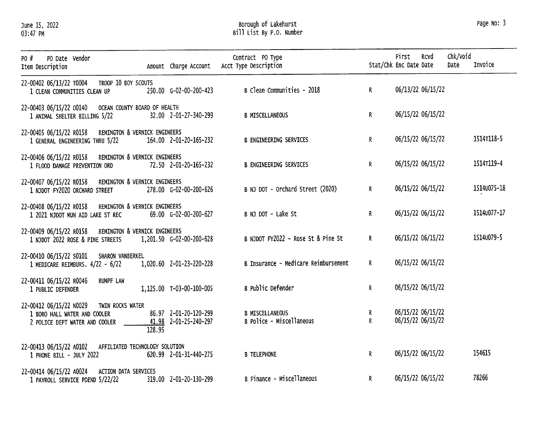June 15, 2022<br>03:47 PM

## Borough of Lakehurst<br>Bill List By P.O. Number

| PO #<br>PO Date Vendor<br>Item Description                                                                    | Amount Charge Account                                    | Contract PO Type<br>Acct Type Description          |                              | First<br>Stat/Chk Enc Date Date | Rcvd              | Chk/Void<br>Date | Invoice     |
|---------------------------------------------------------------------------------------------------------------|----------------------------------------------------------|----------------------------------------------------|------------------------------|---------------------------------|-------------------|------------------|-------------|
| 22-00402 06/13/22 T0004 TROOP 10 BOY SCOUTS<br>1 CLEAN COMMUNITIES CLEAN UP                                   | 250.00 G-02-00-200-423                                   | B Clean Communities - 2018                         | $\mathsf{R}$                 |                                 | 06/13/22 06/15/22 |                  |             |
| 22-00403 06/15/22 00140 OCEAN COUNTY BOARD OF HEALTH<br>1 ANIMAL SHELTER BILLING 5/22                         | 32.00 2-01-27-340-299                                    | <b>B MISCELLANEOUS</b>                             | $\mathsf{R}$                 |                                 | 06/15/22 06/15/22 |                  |             |
| 22-00405 06/15/22 R0158 REMINGTON & VERNICK ENGINEERS<br>1 GENERAL ENGINEERING THRU 5/22                      | 164.00 2-01-20-165-232                                   | <b>B ENGINEERING SERVICES</b>                      | $\mathsf{R}^-$               |                                 | 06/15/22 06/15/22 |                  | 1514T118-5  |
| 22-00406 06/15/22 R0158<br>1 FLOOD DAMAGE PREVENTION ORD                                                      | REMINGTON & VERNICK ENGINEERS<br>72.50 2-01-20-165-232   | <b>B ENGINEERING SERVICES</b>                      | R.                           |                                 | 06/15/22 06/15/22 |                  | 1514T119-4  |
| 22-00407 06/15/22 R0158<br>1 NJDOT FY2020 ORCHARD STREET                                                      | REMINGTON & VERNICK ENGINEERS<br>278.00 G-02-00-200-626  | B NJ DOT - Orchard Street (2020)                   | $\mathbf{R}$                 |                                 | 06/15/22 06/15/22 |                  | 15140075-18 |
| 22-00408 06/15/22 R0158 REMINGTON & VERNICK ENGINEERS<br>1 2021 NJDOT MUN AID LAKE ST REC                     | 69.00 G-02-00-200-627                                    | B NJ DOT - Lake St                                 | $\mathbf{R}$                 |                                 | 06/15/22 06/15/22 |                  | 15140077-17 |
| REMINGTON & VERNICK ENGINEERS<br>22-00409 06/15/22 R0158<br>1 NJDOT 2022 ROSE & PINE STREETS                  | 1,201.50 G-02-00-200-628                                 | B NJDOT FY2022 - Rose St & Pine St                 | $\mathbf{R}$                 |                                 | 06/15/22 06/15/22 |                  | 15140079-5  |
| 22-00410 06/15/22 S0101 SHARON VANBERKEL<br>1 MEDICARE REIMBURS. 4/22 - 6/22                                  | 1,020.60 2-01-23-220-228                                 | B Insurance - Medicare Reimbursement               | $\mathbf{R}$                 | 06/15/22 06/15/22               |                   |                  |             |
| 22-00411 06/15/22 R0046<br><b>RUMPF LAW</b><br>1 PUBLIC DEFENDER                                              | 1,125.00 T-03-00-100-005                                 | <b>B</b> Public Defender                           | $\mathbf{R}$                 | 06/15/22 06/15/22               |                   |                  |             |
| 22-00412 06/15/22 NO029<br>TWIN ROCKS WATER<br>1 BORO HALL WATER AND COOLER<br>2 POLICE DEPT WATER AND COOLER | 86.97 2-01-20-120-299<br>41.98 2-01-25-240-297<br>128.95 | <b>B MISCELLANEOUS</b><br>B Police - Miscellaneous | $\mathbf{R}$<br>$\mathbf{R}$ | 06/15/22 06/15/22               | 06/15/22 06/15/22 |                  |             |
| 22-00413 06/15/22 A0102<br>AFFILIATED TECHNOLOGY SOLUTION<br>1 PHONE BILL - JULY 2022                         | 620.99 2-01-31-440-275                                   | <b>B TELEPHONE</b>                                 | $\mathbb{R}$                 | 06/15/22 06/15/22               |                   |                  | 154615      |
| 22-00414 06/15/22 A0024 ACTION DATA SERVICES<br>1 PAYROLL SERVICE PDEND 5/22/22                               | 319.00 2-01-20-130-299                                   | B Finance - Miscellaneous                          | R.                           | 06/15/22 06/15/22               |                   |                  | 78266       |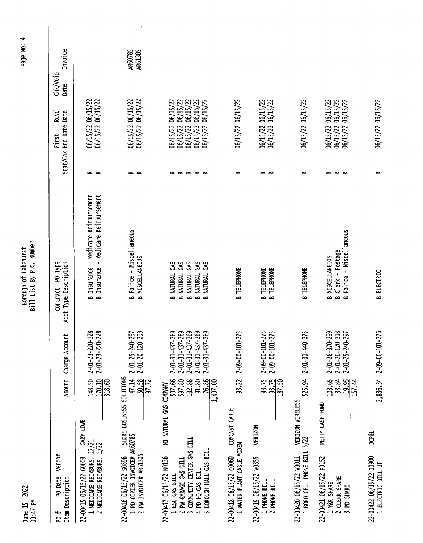| June 15, 2022<br>$03:47$ PM                                                                                                                 |                                                                                           |                                                                                                                                               | Bill List By P.O. Number<br>Borough of Lakehurst                                                                                                                              |                                             |                                                                                                                      | Page N                      |
|---------------------------------------------------------------------------------------------------------------------------------------------|-------------------------------------------------------------------------------------------|-----------------------------------------------------------------------------------------------------------------------------------------------|-------------------------------------------------------------------------------------------------------------------------------------------------------------------------------|---------------------------------------------|----------------------------------------------------------------------------------------------------------------------|-----------------------------|
| <b>Vendor</b><br>PO Date<br>Item Description<br>PO #                                                                                        | <b>Amount</b>                                                                             | Charge Account                                                                                                                                | PO Type<br>Acct Type Description<br>Contract                                                                                                                                  | stat/chk                                    | RCVD<br>Enc Date Date<br>First                                                                                       | Invoice<br>chk/void<br>Date |
| 22-00415 06/15/22 00009<br>1 MEDICARE REIMBURS.<br>2 MEDICARE REIMBURS.                                                                     | 170.10<br>148.50<br>318.60<br>GARY LOWE<br>$\frac{12}{12}$                                | $2 - 01 - 23 - 220 - 228$<br>$2 - 01 - 23 - 220 - 228$                                                                                        | Insurance - Medicare Reimbursement<br>Medicare Reimbursement<br>Insurance -<br>ക<br>$\sim$                                                                                    | $\propto$ $\propto$                         | 06/15/22 06/15/22<br>06/15/22 06/15/22                                                                               |                             |
| 1 PD COPIER INVOICE# AR60785<br>2 PW INVOICE# AR61305<br>22-00416 06/15/22 50896                                                            | SHORE BUSINESS SOLUTIONS<br>47.14<br>$\frac{50.58}{97.72}$                                | 2-01-20-120-299<br>2-01-25-240-297                                                                                                            | Police - Miscellaneous<br><b>MISCELLANEOUS</b><br>ക<br>$\sim$                                                                                                                 | $\propto$ $\propto$                         | 06/15/22 06/15/22<br>06/15/22 06/15/22                                                                               | AR60785<br>AR61305          |
| COMMUNITY CENTER GAS BILL<br>BOROUGH HALL GAS BILL<br>22-00417 06/15/22 NO136<br>2 PW GARAGE GAS BILL<br>4 PD HQ GAS BILL<br>1 ESC GAS BILL | 507.66<br>597.80<br>$\frac{76.86}{1,407.00}$<br>132.88<br>91.80<br>NJ NATURAL GAS COMPANY | $2 - 01 - 31 - 437 - 269$<br>$2 - 01 - 31 - 437 - 269$<br>$2 - 01 - 31 - 437 - 269$<br>$2 - 01 - 31 - 437 - 269$<br>$2 - 01 - 31 - 437 - 269$ | 3<br>3<br>3<br>3<br>3KD<br><b>NATURAL</b><br><b>MATURAL</b><br><b>NATURAL</b><br><b>NATURAL</b><br><b>NATURAL</b><br>$\bf{m}$<br>$\sim$<br>$\bf{r}$<br>$\mathbf{r}$<br>$\sim$ | ĸ<br>$\alpha \propto \alpha \propto \alpha$ | 06/15/22<br>06/15/22<br>06/15/22<br>06/15/22<br>06/15/22<br>06/15/22<br>06/15/22<br>06/15/22<br>06/15/22<br>06/15/22 |                             |
| I WATER PLANT CABLE MODEM<br>22-00418 06/15/22 C0060                                                                                        | 93.22<br>COMCAST CABLE                                                                    | $2 - 09 - 00 - 101 - 275$                                                                                                                     | <b>TELEPHONE</b><br>$\mathbf{r}$                                                                                                                                              | $\approx$                                   | 06/15/22 06/15/22                                                                                                    |                             |
| 22-00419 06/15/22 v0855<br>1 PHONE BILL<br>2 PHONE BILL                                                                                     | $93.75$<br>$93.75$<br>$187.50$<br><b>VERIZON</b>                                          | $2 - 09 - 00 - 101 - 275$<br>$2 - 09 - 00 - 101 - 275$                                                                                        | <b>B TELEPHONE</b><br>B TELEPHONE                                                                                                                                             | $\propto$ $\propto$                         | 06/15/22 06/15/22<br>06/15/22<br>06/15/22                                                                            |                             |
| 1 BORO CELL PHONE BILL<br>22-00420 06/15/22 v0011                                                                                           | VERIZON WIRELESS<br>5/22                                                                  | 525.94 2-01-31-440-275                                                                                                                        | <b>TELEPHONE</b><br>ക                                                                                                                                                         | ≃                                           | 06/15/22 06/15/22                                                                                                    |                             |
| 22-00421 06/15/22 PO152<br>2 CLERK SHARE<br>1 Y&R SHARE<br>PD SHARE<br>$\sim$                                                               | $\frac{13.34}{15.44}$<br>PETTY CASH FUND                                                  | $2 - 01 - 28 - 370 - 299$<br>$2 - 01 - 20 - 120 - 218$<br>$2 - 01 - 25 - 240 - 297$                                                           | Police - Miscellaneous<br>Clerk - Postage<br><b>MISCELLANEOUS</b><br>ക<br>$\sim$ $\sim$                                                                                       | $\propto$ $\propto$<br>≃                    | 06/15/22<br>06/15/22 06/15/22<br>06/15/22<br>06/15/22 (<br>06/15/22 (                                                |                             |
| 22-00422 06/15/22 10900<br>1 ELECTRIC BILL UF                                                                                               | <b>JCP&amp;L</b>                                                                          | 2.836.34 2-09-00-101-276                                                                                                                      | <b>B</b> ELECTRIC                                                                                                                                                             | $\approx$                                   | 06/15/22 06/15/22                                                                                                    |                             |

 $\ddot{\phantom{0}}$ 

Page No: 4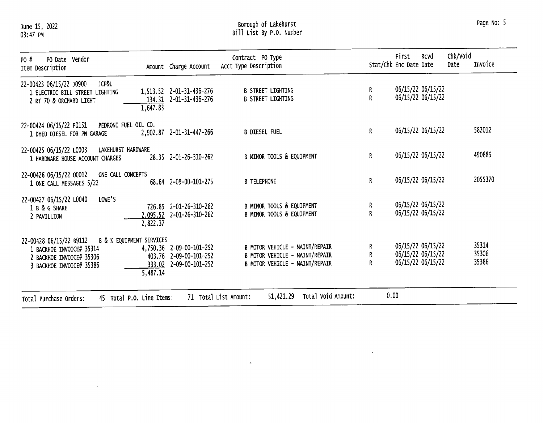June 15, 2022<br>03:47 PM

 $\mathcal{L}^{\pm}$ 

# Borough of Lakehurst<br>Bill List By P.O. Number

| PO Date Vendor<br>PO #<br>Item Description                                                                                              |                      | Amount Charge Account                                                        | Contract PO Type<br>Acct Type Description                                                          |        | First<br>Stat/Chk Enc Date Date | <b>RCVd</b>                                                 | Chk/Void<br>Date | Invoice                 |
|-----------------------------------------------------------------------------------------------------------------------------------------|----------------------|------------------------------------------------------------------------------|----------------------------------------------------------------------------------------------------|--------|---------------------------------|-------------------------------------------------------------|------------------|-------------------------|
| <b>JCP&amp;L</b><br>22-00423 06/15/22 J0900<br>1 ELECTRIC BILL STREET LIGHTING<br>2 RT 70 & ORCHARD LIGHT                               | 1,647.83             | 1,513.52 2-01-31-436-276<br>134.31 2-01-31-436-276                           | <b>B STREET LIGHTING</b><br><b>B STREET LIGHTING</b>                                               | R<br>R |                                 | 06/15/22 06/15/22<br>06/15/22 06/15/22                      |                  |                         |
| PEDRONI FUEL OIL CO.<br>22-00424 06/15/22 P0151<br>1 DYED DIESEL FOR PW GARAGE                                                          |                      | 2,902.87 2-01-31-447-266                                                     | <b>B DIESEL FUEL</b>                                                                               | R      |                                 | 06/15/22 06/15/22                                           |                  | 582012                  |
| LAKEHURST HARDWARE<br>22-00425 06/15/22 L0003<br>1 HARDWARE HOUSE ACCOUNT CHARGES                                                       |                      | 28.35 2-01-26-310-262                                                        | B MINOR TOOLS & EQUIPMENT                                                                          | R.     |                                 | 06/15/22 06/15/22                                           |                  | 490885                  |
| ONE CALL CONCEPTS<br>22-00426 06/15/22 00012<br>1 ONE CALL MESSAGES 5/22                                                                |                      | 68.64 2-09-00-101-275                                                        | <b>B TELEPHONE</b>                                                                                 | R      |                                 | 06/15/22 06/15/22                                           |                  | 2055370                 |
| LOWE'S<br>22-00427 06/15/22 L0040<br>1 B & G SHARE<br>2 PAVILLION                                                                       | 2,095.52<br>2,822.37 | 726.85 2-01-26-310-262<br>2-01-26-310-262                                    | B MINOR TOOLS & EQUIPMENT<br>B MINOR TOOLS & EQUIPMENT                                             | ĸ<br>R |                                 | 06/15/22 06/15/22<br>06/15/22 06/15/22                      |                  |                         |
| B & K EQUIPMENT SERVICES<br>22-00428 06/15/22 B9112<br>1 BACKHOE INVOICE# 35314<br>2 BACKHOE INVOICE# 35306<br>3 BACKHOE INVOICE# 35386 | 5,487.14             | 4,750.36 2-09-00-101-252<br>403.76 2-09-00-101-252<br>333.02 2-09-00-101-252 | B MOTOR VEHICLE - MAINT/REPAIR<br>B MOTOR VEHICLE - MAINT/REPAIR<br>B MOTOR VEHICLE - MAINT/REPAIR | R<br>R |                                 | 06/15/22 06/15/22<br>06/15/22 06/15/22<br>06/15/22 06/15/22 |                  | 35314<br>35306<br>35386 |
| 45 Total P.O. Line Items:<br>Total Purchase Orders:                                                                                     |                      |                                                                              | Total Void Amount:<br>51,421.29<br>71 Total List Amount:                                           | 0.00   |                                 |                                                             |                  |                         |

 $\omega$ 

 $\mathcal{A}^{\mathcal{A}}$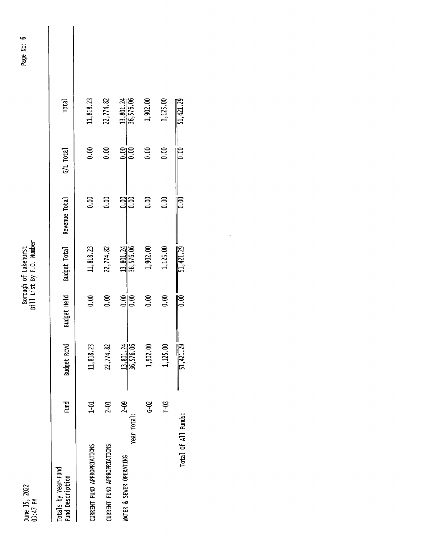June 15, 2022<br>03:47 PM

Borough of Lakehurst<br>Bill List By P.O. Number

| Totals by Year-Fund<br>Fund Description | <b>Fund</b> | Budget Rcvd | Budget Held    | Budget Total | Revenue Total | $G/L$ Total | <b>Total</b> |  |
|-----------------------------------------|-------------|-------------|----------------|--------------|---------------|-------------|--------------|--|
| <b>URRENT FUND APPROPRIATIONS</b>       | 다.<br>구     | 11,818.23   | 0.00           | 11,818.23    | 0.00          | 0.00        | 11,818.23    |  |
| <b>JURRENT FUND APPROPRIATIONS</b>      | $2-01$      | 22,774.82   | $\frac{8}{10}$ | 22,774.82    | 0.00          | 0.00        | 22,774.82    |  |
| Year Total:<br>WATER & SEWER OPERATING  | $2 - 09$    | 13,801.24   | ချိန္ပ         | 13,801.24    | ချွန္လ        | ချခဲ့       | 13,801.24    |  |
|                                         | ဥ           | 1,902.00    | 8.0            | 1,902.00     | $\frac{8}{5}$ | 8.io        | 1,902.00     |  |
|                                         | ှင်         | 1,125.00    | $\frac{8}{5}$  | 1,125.00     | ຣິ            | 8.00        | 1,125.00     |  |

 $\overline{51,421.29}$ 

 $\frac{1}{2}$ 

 $\overline{6}$ 

 $\frac{1}{51,421.29}$ 

 $\frac{1}{\sqrt{2}}$ 

 $\frac{1}{11,421.29}$ 

Total of All Funds:

 $\ddot{\cdot}$ 

Page No: 6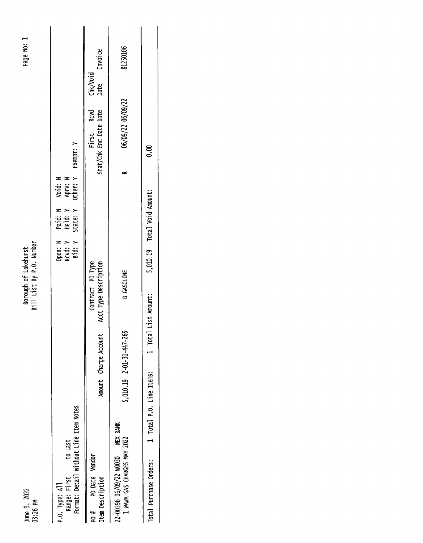| N<br>0      |        |
|-------------|--------|
| ี<br>b      | ≖<br>г |
| σ<br>ω<br>c | ص<br>N |
| ⋍<br>۰      | ۳      |

| <b>U3:25 PM</b>                                                                     |                          | BILL LISL BY P.U. NUMBER                  |                                   |                                |                                                |                   |                  |                |  |
|-------------------------------------------------------------------------------------|--------------------------|-------------------------------------------|-----------------------------------|--------------------------------|------------------------------------------------|-------------------|------------------|----------------|--|
| Format: Detail without Line Item Notes<br>to Last<br>Range: First<br>P.O. Type: All |                          |                                           | Open: N<br>RCVd: Y<br>Bid: Y<br>S | Paid: N<br>Held: Y<br>State: Y | I Void: N<br>/ Aprv: N<br>/ Other: Y Exempt: Y |                   |                  |                |  |
| PO Date Vendor<br>Item Description<br>#<br>ድ                                        | Amount Charge Account    | Contract PO Type<br>Acct Type Description |                                   |                                | First Rcvd<br>stat/chk Enc Date Date           |                   | Chk/void<br>Date | <b>Invoice</b> |  |
| 22-00396 06/09/22 W0030 WEX BANK<br>1 WAWA GAS CHARGES MAY 2022                     | 5,010.19 2-01-31-447-265 | B GASOLINE                                |                                   |                                | ∝                                              | 06/09/22 06/09/22 |                  | 81250106       |  |
| 1 Total P.O. Line Items:<br>Total Purchase Orders:                                  | 1 Total                  | List Amount:                              |                                   | 5,010.19 Total Void Amount:    | 0.00                                           |                   |                  |                |  |

 $\frac{1}{\sqrt{2}}$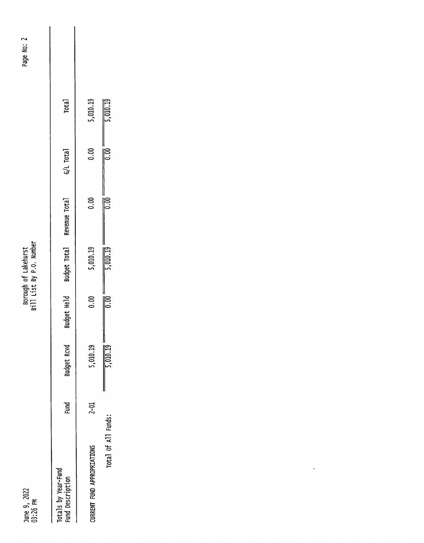June 9, 2022<br>03:26 PM

Borough of Lakehurst<br>Bill List By P.O. Number

| ี    |  |
|------|--|
| 울    |  |
| Page |  |
|      |  |
|      |  |

| Totals by Year-Fund<br>Fund Description | Fund       | sudget Rcvd          | audget Held   | Budget Total         | Revenue Total | G/L Total            | <b>Total</b>         |  |
|-----------------------------------------|------------|----------------------|---------------|----------------------|---------------|----------------------|----------------------|--|
| URRENT FUND APPROPRIATIONS              | <u>ភ្ន</u> | ,010.19              | 8<br>S        | 5,010.19             | ຣິ            | ຣິ                   | 5,010.19             |  |
| Total of All Funds:                     |            | $\frac{1}{5,010.19}$ | $\frac{1}{2}$ | $\frac{1}{5,010.19}$ | $\frac{1}{2}$ | $\frac{1}{\sqrt{2}}$ | $\frac{1}{5,010.19}$ |  |

 $\ddot{\phantom{0}}$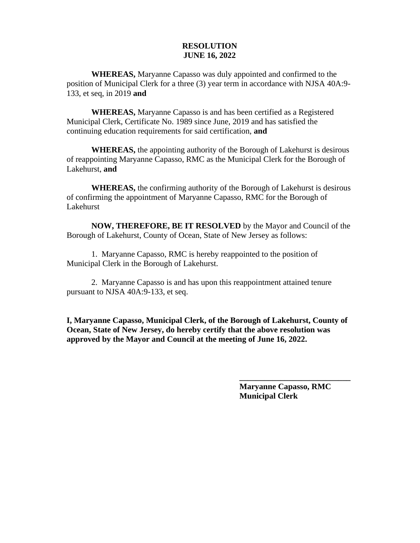**WHEREAS,** Maryanne Capasso was duly appointed and confirmed to the position of Municipal Clerk for a three (3) year term in accordance with NJSA 40A:9- 133, et seq, in 2019 **and**

**WHEREAS,** Maryanne Capasso is and has been certified as a Registered Municipal Clerk, Certificate No. 1989 since June, 2019 and has satisfied the continuing education requirements for said certification, **and**

**WHEREAS,** the appointing authority of the Borough of Lakehurst is desirous of reappointing Maryanne Capasso, RMC as the Municipal Clerk for the Borough of Lakehurst, **and**

**WHEREAS,** the confirming authority of the Borough of Lakehurst is desirous of confirming the appointment of Maryanne Capasso, RMC for the Borough of Lakehurst

**NOW, THEREFORE, BE IT RESOLVED** by the Mayor and Council of the Borough of Lakehurst, County of Ocean, State of New Jersey as follows:

1. Maryanne Capasso, RMC is hereby reappointed to the position of Municipal Clerk in the Borough of Lakehurst.

2. Maryanne Capasso is and has upon this reappointment attained tenure pursuant to NJSA 40A:9-133, et seq.

**I, Maryanne Capasso, Municipal Clerk, of the Borough of Lakehurst, County of Ocean, State of New Jersey, do hereby certify that the above resolution was approved by the Mayor and Council at the meeting of June 16, 2022.**

> **Maryanne Capasso, RMC Municipal Clerk**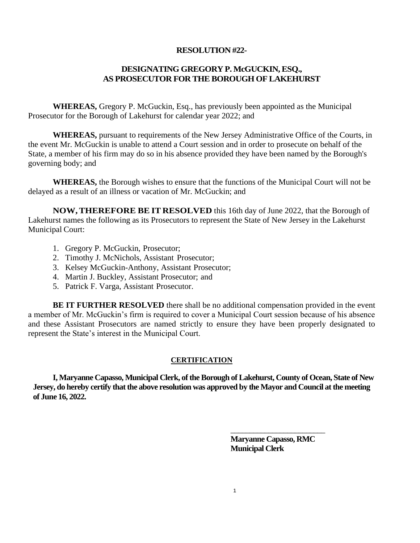#### **RESOLUTION #22-**

### **DESIGNATING GREGORY P. McGUCKIN, ESQ., AS PROSECUTOR FOR THE BOROUGH OF LAKEHURST**

**WHEREAS,** Gregory P. McGuckin, Esq., has previously been appointed as the Municipal Prosecutor for the Borough of Lakehurst for calendar year 2022; and

**WHEREAS,** pursuant to requirements of the New Jersey Administrative Office of the Courts, in the event Mr. McGuckin is unable to attend a Court session and in order to prosecute on behalf of the State, a member of his firm may do so in his absence provided they have been named by the Borough's governing body; and

**WHEREAS,** the Borough wishes to ensure that the functions of the Municipal Court will not be delayed as a result of an illness or vacation of Mr. McGuckin; and

**NOW,THEREFORE BE IT RESOLVED** this 16th day of June 2022, that the Borough of Lakehurst names the following as its Prosecutors to represent the State of New Jersey in the Lakehurst Municipal Court:

- 1. Gregory P. McGuckin, Prosecutor;
- 2. Timothy J. McNichols, Assistant Prosecutor;
- 3. Kelsey McGuckin-Anthony, Assistant Prosecutor;
- 4. Martin J. Buckley, Assistant Prosecutor; and
- 5. Patrick F. Varga, Assistant Prosecutor.

**BE IT FURTHER RESOLVED** there shall be no additional compensation provided in the event a member of Mr. McGuckin's firm is required to cover a Municipal Court session because of his absence and these Assistant Prosecutors are named strictly to ensure they have been properly designated to represent the State's interest in the Municipal Court.

#### **CERTIFICATION**

**I, Maryanne Capasso, Municipal Clerk, of the Borough of Lakehurst, County of Ocean, State of New Jersey, do hereby certify that the above resolution was approved by the Mayor and Council at the meeting of June 16, 2022.**

> **Maryanne Capasso, RMC Municipal Clerk**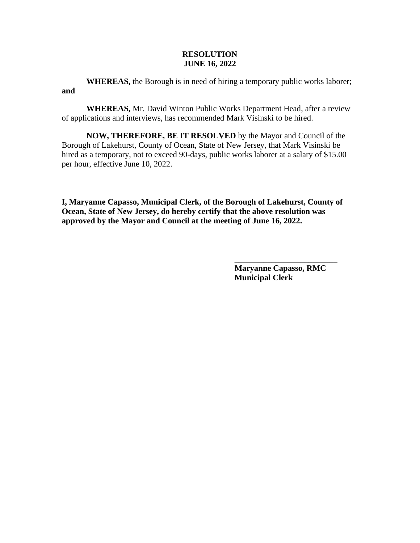**WHEREAS,** the Borough is in need of hiring a temporary public works laborer; **and**

**WHEREAS,** Mr. David Winton Public Works Department Head, after a review of applications and interviews, has recommended Mark Visinski to be hired.

**NOW, THEREFORE, BE IT RESOLVED** by the Mayor and Council of the Borough of Lakehurst, County of Ocean, State of New Jersey, that Mark Visinski be hired as a temporary, not to exceed 90-days, public works laborer at a salary of \$15.00 per hour, effective June 10, 2022.

**I, Maryanne Capasso, Municipal Clerk, of the Borough of Lakehurst, County of Ocean, State of New Jersey, do hereby certify that the above resolution was approved by the Mayor and Council at the meeting of June 16, 2022.**

> **Maryanne Capasso, RMC Municipal Clerk**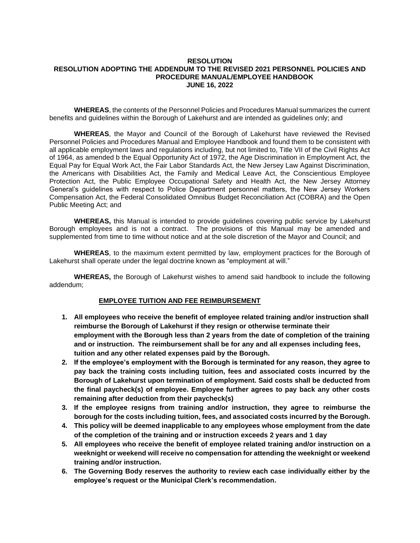#### **RESOLUTION RESOLUTION ADOPTING THE ADDENDUM TO THE REVISED 2021 PERSONNEL POLICIES AND PROCEDURE MANUAL/EMPLOYEE HANDBOOK JUNE 16, 2022**

**WHEREAS**, the contents of the Personnel Policies and Procedures Manual summarizes the current benefits and guidelines within the Borough of Lakehurst and are intended as guidelines only; and

**WHEREAS**, the Mayor and Council of the Borough of Lakehurst have reviewed the Revised Personnel Policies and Procedures Manual and Employee Handbook and found them to be consistent with all applicable employment laws and regulations including, but not limited to, Title VII of the Civil Rights Act of 1964, as amended b the Equal Opportunity Act of 1972, the Age Discrimination in Employment Act, the Equal Pay for Equal Work Act, the Fair Labor Standards Act, the New Jersey Law Against Discrimination, the Americans with Disabilities Act, the Family and Medical Leave Act, the Conscientious Employee Protection Act, the Public Employee Occupational Safety and Health Act, the New Jersey Attorney General's guidelines with respect to Police Department personnel matters, the New Jersey Workers Compensation Act, the Federal Consolidated Omnibus Budget Reconciliation Act (COBRA) and the Open Public Meeting Act; and

**WHEREAS,** this Manual is intended to provide guidelines covering public service by Lakehurst Borough employees and is not a contract. The provisions of this Manual may be amended and supplemented from time to time without notice and at the sole discretion of the Mayor and Council; and

**WHEREAS**, to the maximum extent permitted by law, employment practices for the Borough of Lakehurst shall operate under the legal doctrine known as "employment at will."

**WHEREAS,** the Borough of Lakehurst wishes to amend said handbook to include the following addendum;

#### **EMPLOYEE TUITION AND FEE REIMBURSEMENT**

- **1. All employees who receive the benefit of employee related training and/or instruction shall reimburse the Borough of Lakehurst if they resign or otherwise terminate their employment with the Borough less than 2 years from the date of completion of the training and or instruction. The reimbursement shall be for any and all expenses including fees, tuition and any other related expenses paid by the Borough.**
- **2. If the employee's employment with the Borough is terminated for any reason, they agree to pay back the training costs including tuition, fees and associated costs incurred by the Borough of Lakehurst upon termination of employment. Said costs shall be deducted from the final paycheck(s) of employee. Employee further agrees to pay back any other costs remaining after deduction from their paycheck(s)**
- **3. If the employee resigns from training and/or instruction, they agree to reimburse the borough for the costs including tuition, fees, and associated costs incurred by the Borough.**
- **4. This policy will be deemed inapplicable to any employees whose employment from the date of the completion of the training and or instruction exceeds 2 years and 1 day**
- **5. All employees who receive the benefit of employee related training and/or instruction on a weeknight or weekend will receive no compensation for attending the weeknight or weekend training and/or instruction.**
- **6. The Governing Body reserves the authority to review each case individually either by the employee's request or the Municipal Clerk's recommendation.**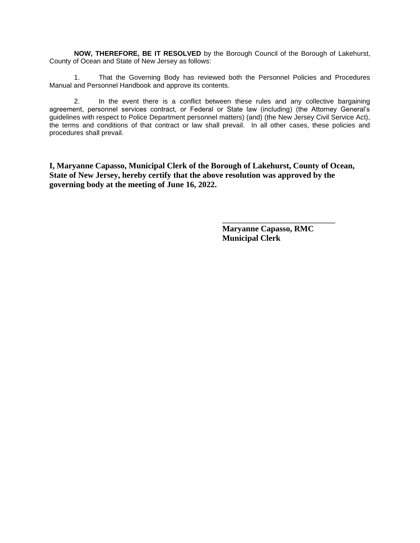**NOW, THEREFORE, BE IT RESOLVED** by the Borough Council of the Borough of Lakehurst, County of Ocean and State of New Jersey as follows:

1. That the Governing Body has reviewed both the Personnel Policies and Procedures Manual and Personnel Handbook and approve its contents.

2. In the event there is a conflict between these rules and any collective bargaining agreement, personnel services contract, or Federal or State law (including) (the Attorney General's guidelines with respect to Police Department personnel matters) (and) (the New Jersey Civil Service Act), the terms and conditions of that contract or law shall prevail. In all other cases, these policies and procedures shall prevail.

**I, Maryanne Capasso, Municipal Clerk of the Borough of Lakehurst, County of Ocean, State of New Jersey, hereby certify that the above resolution was approved by the governing body at the meeting of June 16, 2022.**

> **Maryanne Capasso, RMC Municipal Clerk**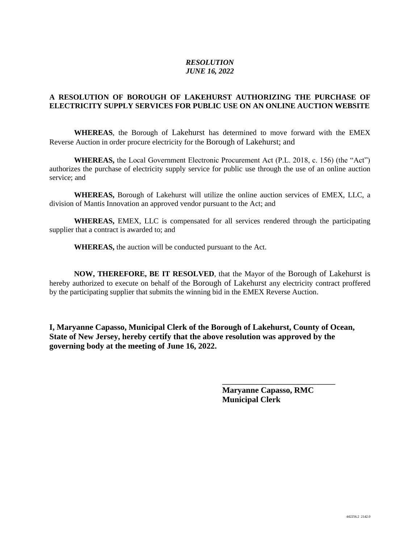#### **A RESOLUTION OF BOROUGH OF LAKEHURST AUTHORIZING THE PURCHASE OF ELECTRICITY SUPPLY SERVICES FOR PUBLIC USE ON AN ONLINE AUCTION WEBSITE**

**WHEREAS**, the Borough of Lakehurst has determined to move forward with the EMEX Reverse Auction in order procure electricity for the Borough of Lakehurst; and

**WHEREAS,** the Local Government Electronic Procurement Act (P.L. 2018, c. 156) (the "Act") authorizes the purchase of electricity supply service for public use through the use of an online auction service; and

**WHEREAS,** Borough of Lakehurst will utilize the online auction services of EMEX, LLC, a division of Mantis Innovation an approved vendor pursuant to the Act; and

**WHEREAS,** EMEX, LLC is compensated for all services rendered through the participating supplier that a contract is awarded to; and

**WHEREAS,** the auction will be conducted pursuant to the Act.

**NOW, THEREFORE, BE IT RESOLVED**, that the Mayor of the Borough of Lakehurst is hereby authorized to execute on behalf of the Borough of Lakehurst any electricity contract proffered by the participating supplier that submits the winning bid in the EMEX Reverse Auction.

**I, Maryanne Capasso, Municipal Clerk of the Borough of Lakehurst, County of Ocean, State of New Jersey, hereby certify that the above resolution was approved by the governing body at the meeting of June 16, 2022.**

> **Maryanne Capasso, RMC Municipal Clerk**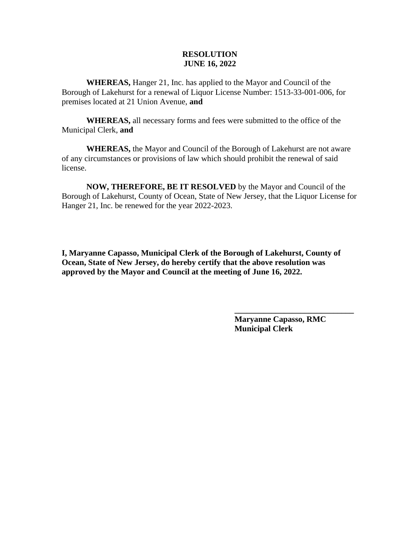**WHEREAS,** Hanger 21, Inc. has applied to the Mayor and Council of the Borough of Lakehurst for a renewal of Liquor License Number: 1513-33-001-006, for premises located at 21 Union Avenue, **and**

**WHEREAS,** all necessary forms and fees were submitted to the office of the Municipal Clerk, **and**

**WHEREAS,** the Mayor and Council of the Borough of Lakehurst are not aware of any circumstances or provisions of law which should prohibit the renewal of said license.

**NOW, THEREFORE, BE IT RESOLVED** by the Mayor and Council of the Borough of Lakehurst, County of Ocean, State of New Jersey, that the Liquor License for Hanger 21, Inc. be renewed for the year 2022-2023.

**I, Maryanne Capasso, Municipal Clerk of the Borough of Lakehurst, County of Ocean, State of New Jersey, do hereby certify that the above resolution was approved by the Mayor and Council at the meeting of June 16, 2022.**

> **Maryanne Capasso, RMC Municipal Clerk**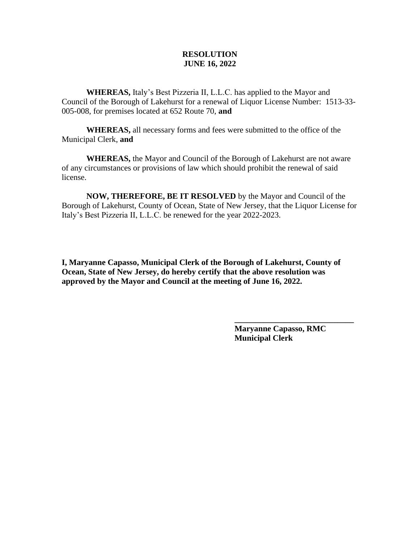**WHEREAS,** Italy's Best Pizzeria II, L.L.C. has applied to the Mayor and Council of the Borough of Lakehurst for a renewal of Liquor License Number: 1513-33- 005-008, for premises located at 652 Route 70, **and**

**WHEREAS,** all necessary forms and fees were submitted to the office of the Municipal Clerk, **and**

**WHEREAS,** the Mayor and Council of the Borough of Lakehurst are not aware of any circumstances or provisions of law which should prohibit the renewal of said license.

**NOW, THEREFORE, BE IT RESOLVED** by the Mayor and Council of the Borough of Lakehurst, County of Ocean, State of New Jersey, that the Liquor License for Italy's Best Pizzeria II, L.L.C. be renewed for the year 2022-2023.

**I, Maryanne Capasso, Municipal Clerk of the Borough of Lakehurst, County of Ocean, State of New Jersey, do hereby certify that the above resolution was approved by the Mayor and Council at the meeting of June 16, 2022.**

> **Maryanne Capasso, RMC Municipal Clerk**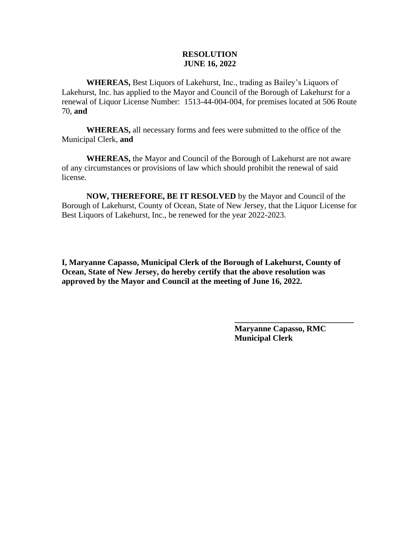**WHEREAS,** Best Liquors of Lakehurst, Inc., trading as Bailey's Liquors of Lakehurst, Inc. has applied to the Mayor and Council of the Borough of Lakehurst for a renewal of Liquor License Number: 1513-44-004-004, for premises located at 506 Route 70, **and**

**WHEREAS,** all necessary forms and fees were submitted to the office of the Municipal Clerk, **and**

**WHEREAS,** the Mayor and Council of the Borough of Lakehurst are not aware of any circumstances or provisions of law which should prohibit the renewal of said license.

**NOW, THEREFORE, BE IT RESOLVED** by the Mayor and Council of the Borough of Lakehurst, County of Ocean, State of New Jersey, that the Liquor License for Best Liquors of Lakehurst, Inc., be renewed for the year 2022-2023.

**I, Maryanne Capasso, Municipal Clerk of the Borough of Lakehurst, County of Ocean, State of New Jersey, do hereby certify that the above resolution was approved by the Mayor and Council at the meeting of June 16, 2022.**

> **Maryanne Capasso, RMC Municipal Clerk**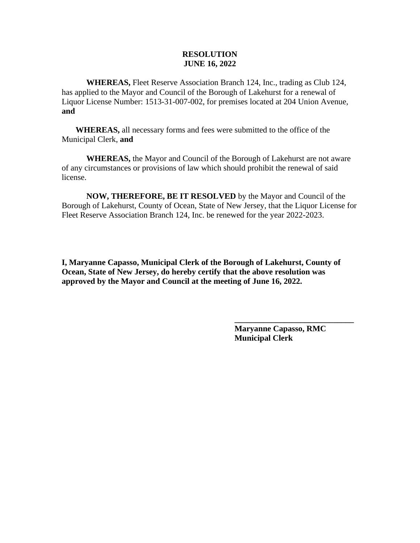**WHEREAS,** Fleet Reserve Association Branch 124, Inc., trading as Club 124, has applied to the Mayor and Council of the Borough of Lakehurst for a renewal of Liquor License Number: 1513-31-007-002, for premises located at 204 Union Avenue, **and**

**WHEREAS,** all necessary forms and fees were submitted to the office of the Municipal Clerk, **and**

**WHEREAS,** the Mayor and Council of the Borough of Lakehurst are not aware of any circumstances or provisions of law which should prohibit the renewal of said license.

**NOW, THEREFORE, BE IT RESOLVED** by the Mayor and Council of the Borough of Lakehurst, County of Ocean, State of New Jersey, that the Liquor License for Fleet Reserve Association Branch 124, Inc. be renewed for the year 2022-2023.

**I, Maryanne Capasso, Municipal Clerk of the Borough of Lakehurst, County of Ocean, State of New Jersey, do hereby certify that the above resolution was approved by the Mayor and Council at the meeting of June 16, 2022.**

> **Maryanne Capasso, RMC Municipal Clerk**